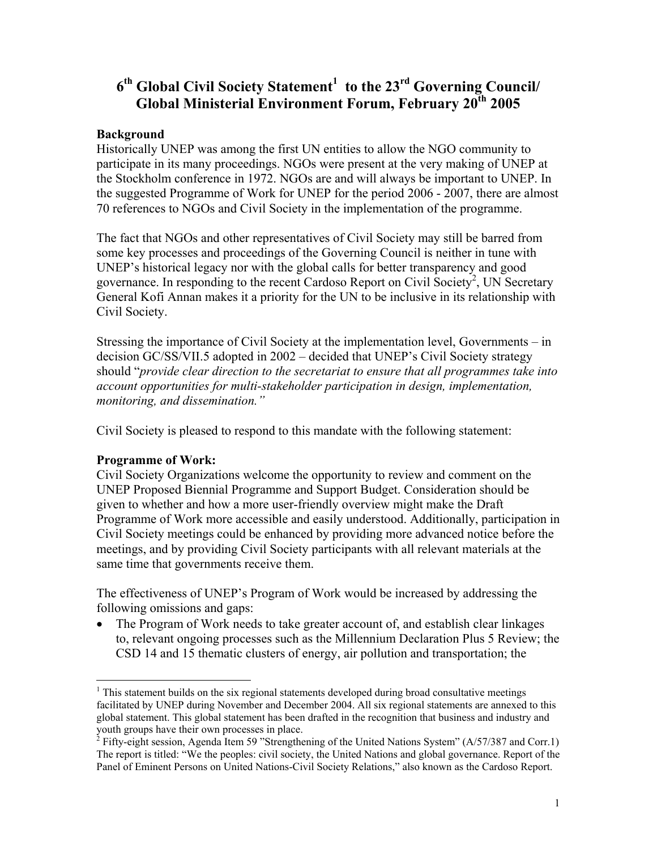# **6<sup>th</sup> Global Civil Society Statement<sup>1</sup> to the 23<sup>rd</sup> Governing Council/ Global Ministerial Environment Forum, February 20th 2005**

#### **Background**

Historically UNEP was among the first UN entities to allow the NGO community to participate in its many proceedings. NGOs were present at the very making of UNEP at the Stockholm conference in 1972. NGOs are and will always be important to UNEP. In the suggested Programme of Work for UNEP for the period 2006 - 2007, there are almost 70 references to NGOs and Civil Society in the implementation of the programme.

The fact that NGOs and other representatives of Civil Society may still be barred from some key processes and proceedings of the Governing Council is neither in tune with UNEP's historical legacy nor with the global calls for better transparency and good governance. In responding to the recent Cardoso Report on Civil Society<sup>2</sup>, UN Secretary General Kofi Annan makes it a priority for the UN to be inclusive in its relationship with Civil Society.

Stressing the importance of Civil Society at the implementation level, Governments – in decision GC/SS/VII.5 adopted in 2002 – decided that UNEP's Civil Society strategy should "*provide clear direction to the secretariat to ensure that all programmes take into account opportunities for multi-stakeholder participation in design, implementation, monitoring, and dissemination."* 

Civil Society is pleased to respond to this mandate with the following statement:

#### **Programme of Work:**

 $\overline{a}$ 

Civil Society Organizations welcome the opportunity to review and comment on the UNEP Proposed Biennial Programme and Support Budget. Consideration should be given to whether and how a more user-friendly overview might make the Draft Programme of Work more accessible and easily understood. Additionally, participation in Civil Society meetings could be enhanced by providing more advanced notice before the meetings, and by providing Civil Society participants with all relevant materials at the same time that governments receive them.

The effectiveness of UNEP's Program of Work would be increased by addressing the following omissions and gaps:

• The Program of Work needs to take greater account of, and establish clear linkages to, relevant ongoing processes such as the Millennium Declaration Plus 5 Review; the CSD 14 and 15 thematic clusters of energy, air pollution and transportation; the

<span id="page-0-0"></span> $<sup>1</sup>$  This statement builds on the six regional statements developed during broad consultative meetings</sup> facilitated by UNEP during November and December 2004. All six regional statements are annexed to this global statement. This global statement has been drafted in the recognition that business and industry and youth groups have their own processes in place.

<span id="page-0-1"></span><sup>&</sup>lt;sup>2</sup> Fifty-eight session, Agenda Item 59 "Strengthening of the United Nations System" (A/57/387 and Corr.1) The report is titled: "We the peoples: civil society, the United Nations and global governance. Report of the Panel of Eminent Persons on United Nations-Civil Society Relations," also known as the Cardoso Report.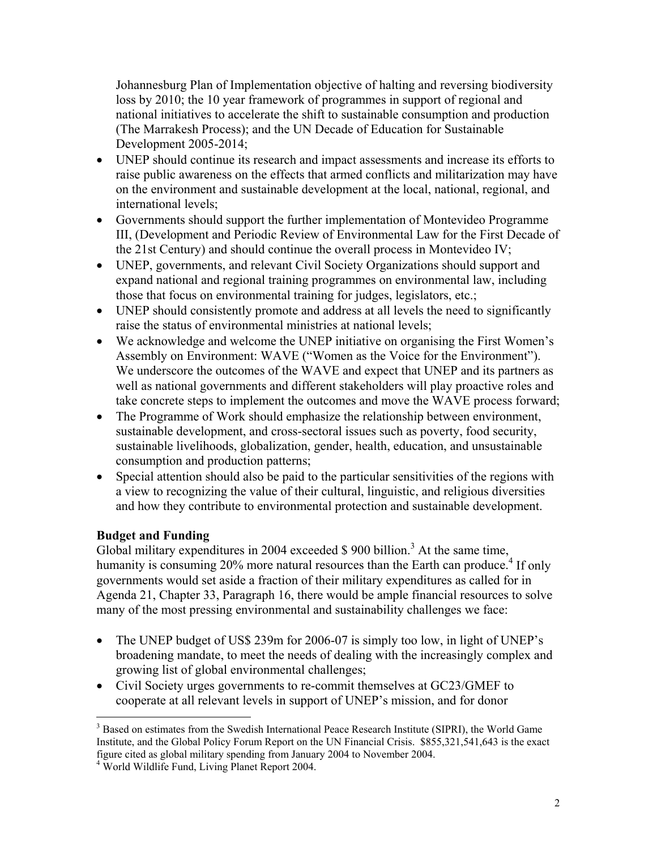Johannesburg Plan of Implementation objective of halting and reversing biodiversity loss by 2010; the 10 year framework of programmes in support of regional and national initiatives to accelerate the shift to sustainable consumption and production (The Marrakesh Process); and the UN Decade of Education for Sustainable Development 2005-2014;

- UNEP should continue its research and impact assessments and increase its efforts to raise public awareness on the effects that armed conflicts and militarization may have on the environment and sustainable development at the local, national, regional, and international levels;
- Governments should support the further implementation of Montevideo Programme III, (Development and Periodic Review of Environmental Law for the First Decade of the 21st Century) and should continue the overall process in Montevideo IV;
- UNEP, governments, and relevant Civil Society Organizations should support and expand national and regional training programmes on environmental law, including those that focus on environmental training for judges, legislators, etc.;
- UNEP should consistently promote and address at all levels the need to significantly raise the status of environmental ministries at national levels;
- We acknowledge and welcome the UNEP initiative on organising the First Women's Assembly on Environment: WAVE ("Women as the Voice for the Environment"). We underscore the outcomes of the WAVE and expect that UNEP and its partners as well as national governments and different stakeholders will play proactive roles and take concrete steps to implement the outcomes and move the WAVE process forward;
- The Programme of Work should emphasize the relationship between environment, sustainable development, and cross-sectoral issues such as poverty, food security, sustainable livelihoods, globalization, gender, health, education, and unsustainable consumption and production patterns;
- Special attention should also be paid to the particular sensitivities of the regions with a view to recognizing the value of their cultural, linguistic, and religious diversities and how they contribute to environmental protection and sustainable development.

# **Budget and Funding**

Global military expenditures in 2004 exceeded  $$900$  billion.<sup>[3](#page-1-0)</sup> At the same time, humanity is consuming  $20\%$  more natural resources than the Earth can produce.<sup>[4](#page-1-1)</sup> If only governments would set aside a fraction of their military expenditures as called for in Agenda 21, Chapter 33, Paragraph 16, there would be ample financial resources to solve many of the most pressing environmental and sustainability challenges we face:

- The UNEP budget of US\$ 239m for 2006-07 is simply too low, in light of UNEP's broadening mandate, to meet the needs of dealing with the increasingly complex and growing list of global environmental challenges;
- Civil Society urges governments to re-commit themselves at GC23/GMEF to cooperate at all relevant levels in support of UNEP's mission, and for donor

<span id="page-1-0"></span> $\overline{a}$ <sup>3</sup> Based on estimates from the Swedish International Peace Research Institute (SIPRI), the World Game Institute, and the Global Policy Forum Report on the UN Financial Crisis. \$855,321,541,643 is the exact figure cited as global military spending from January 2004 to November 2004. 4

<span id="page-1-1"></span><sup>&</sup>lt;sup>4</sup> World Wildlife Fund, Living Planet Report 2004.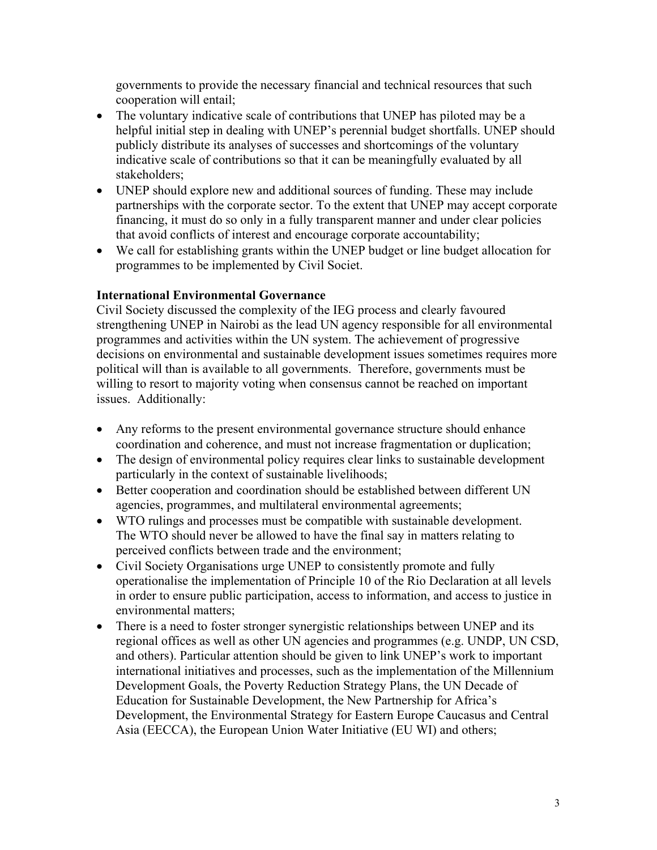governments to provide the necessary financial and technical resources that such cooperation will entail;

- The voluntary indicative scale of contributions that UNEP has piloted may be a helpful initial step in dealing with UNEP's perennial budget shortfalls. UNEP should publicly distribute its analyses of successes and shortcomings of the voluntary indicative scale of contributions so that it can be meaningfully evaluated by all stakeholders;
- UNEP should explore new and additional sources of funding. These may include partnerships with the corporate sector. To the extent that UNEP may accept corporate financing, it must do so only in a fully transparent manner and under clear policies that avoid conflicts of interest and encourage corporate accountability;
- We call for establishing grants within the UNEP budget or line budget allocation for programmes to be implemented by Civil Societ.

### **International Environmental Governance**

Civil Society discussed the complexity of the IEG process and clearly favoured strengthening UNEP in Nairobi as the lead UN agency responsible for all environmental programmes and activities within the UN system. The achievement of progressive decisions on environmental and sustainable development issues sometimes requires more political will than is available to all governments. Therefore, governments must be willing to resort to majority voting when consensus cannot be reached on important issues. Additionally:

- Any reforms to the present environmental governance structure should enhance coordination and coherence, and must not increase fragmentation or duplication;
- The design of environmental policy requires clear links to sustainable development particularly in the context of sustainable livelihoods;
- Better cooperation and coordination should be established between different UN agencies, programmes, and multilateral environmental agreements;
- WTO rulings and processes must be compatible with sustainable development. The WTO should never be allowed to have the final say in matters relating to perceived conflicts between trade and the environment;
- Civil Society Organisations urge UNEP to consistently promote and fully operationalise the implementation of Principle 10 of the Rio Declaration at all levels in order to ensure public participation, access to information, and access to justice in environmental matters;
- There is a need to foster stronger synergistic relationships between UNEP and its regional offices as well as other UN agencies and programmes (e.g. UNDP, UN CSD, and others). Particular attention should be given to link UNEP's work to important international initiatives and processes, such as the implementation of the Millennium Development Goals, the Poverty Reduction Strategy Plans, the UN Decade of Education for Sustainable Development, the New Partnership for Africa's Development, the Environmental Strategy for Eastern Europe Caucasus and Central Asia (EECCA), the European Union Water Initiative (EU WI) and others;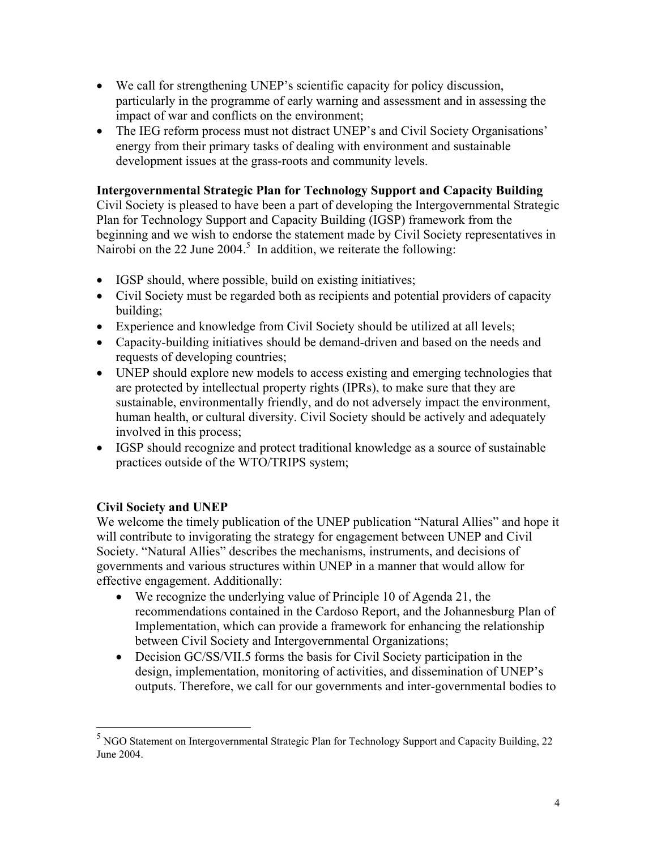- We call for strengthening UNEP's scientific capacity for policy discussion, particularly in the programme of early warning and assessment and in assessing the impact of war and conflicts on the environment;
- The IEG reform process must not distract UNEP's and Civil Society Organisations' energy from their primary tasks of dealing with environment and sustainable development issues at the grass-roots and community levels.

## **Intergovernmental Strategic Plan for Technology Support and Capacity Building**

Civil Society is pleased to have been a part of developing the Intergovernmental Strategic Plan for Technology Support and Capacity Building (IGSP) framework from the beginning and we wish to endorse the statement made by Civil Society representatives in Nairobion the 22 June  $2004$ <sup>5</sup> In addition, we reiterate the following:

- IGSP should, where possible, build on existing initiatives;
- Civil Society must be regarded both as recipients and potential providers of capacity building;
- Experience and knowledge from Civil Society should be utilized at all levels;
- Capacity-building initiatives should be demand-driven and based on the needs and requests of developing countries;
- UNEP should explore new models to access existing and emerging technologies that are protected by intellectual property rights (IPRs), to make sure that they are sustainable, environmentally friendly, and do not adversely impact the environment, human health, or cultural diversity. Civil Society should be actively and adequately involved in this process;
- IGSP should recognize and protect traditional knowledge as a source of sustainable practices outside of the WTO/TRIPS system;

# **Civil Society and UNEP**

We welcome the timely publication of the UNEP publication "Natural Allies" and hope it will contribute to invigorating the strategy for engagement between UNEP and Civil Society. "Natural Allies" describes the mechanisms, instruments, and decisions of governments and various structures within UNEP in a manner that would allow for effective engagement. Additionally:

- We recognize the underlying value of Principle 10 of Agenda 21, the recommendations contained in the Cardoso Report, and the Johannesburg Plan of Implementation, which can provide a framework for enhancing the relationship between Civil Society and Intergovernmental Organizations;
- Decision GC/SS/VII.5 forms the basis for Civil Society participation in the design, implementation, monitoring of activities, and dissemination of UNEP's outputs. Therefore, we call for our governments and inter-governmental bodies to

<span id="page-3-0"></span><sup>&</sup>lt;sup>5</sup><br><sup>5</sup> NGO Statement on Intergovernmental Strategic Plan for Technology Support and Capacity Building, 22 June 2004.